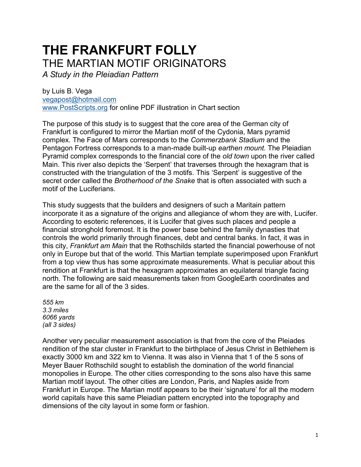## **THE FRANKFURT FOLLY** THE MARTIAN MOTIF ORIGINATORS

*A Study in the Pleiadian Pattern* 

by Luis B. Vega [vegapost@hotmail.com](mailto:vegapost@hotmail.com) [www.PostScripts.org](http://www.postscripts.org/) for online PDF illustration in Chart section

The purpose of this study is to suggest that the core area of the German city of Frankfurt is configured to mirror the Martian motif of the Cydonia, Mars pyramid complex. The Face of Mars corresponds to the *Commerzbank Stadium* and the Pentagon Fortress corresponds to a man-made built-up *earthen mount.* The Pleiadian Pyramid complex corresponds to the financial core of the *old town* upon the river called Main. This river also depicts the 'Serpent' that traverses through the hexagram that is constructed with the triangulation of the 3 motifs. This 'Serpent' is suggestive of the secret order called the *Brotherhood of the Snake* that is often associated with such a motif of the Luciferians.

This study suggests that the builders and designers of such a Maritain pattern incorporate it as a signature of the origins and allegiance of whom they are with, Lucifer. According to esoteric references, it is Lucifer that gives such places and people a financial stronghold foremost. It is the power base behind the family dynasties that controls the world primarily through finances, debt and central banks. In fact, it was in this city, *Frankfurt am Main* that the Rothschilds started the financial powerhouse of not only in Europe but that of the world. This Martian template superimposed upon Frankfurt from a top view thus has some approximate measurements. What is peculiar about this rendition at Frankfurt is that the hexagram approximates an equilateral triangle facing north. The following are said measurements taken from GoogleEarth coordinates and are the same for all of the 3 sides.

*555 km 3.3 miles 6066 yards (all 3 sides)*

Another very peculiar measurement association is that from the core of the Pleiades rendition of the star cluster in Frankfurt to the birthplace of Jesus Christ in Bethlehem is exactly 3000 km and 322 km to Vienna. It was also in Vienna that 1 of the 5 sons of Meyer Bauer Rothschild sought to establish the domination of the world financial monopolies in Europe. The other cities corresponding to the sons also have this same Martian motif layout. The other cities are London, Paris, and Naples aside from Frankfurt in Europe. The Martian motif appears to be their 'signature' for all the modern world capitals have this same Pleiadian pattern encrypted into the topography and dimensions of the city layout in some form or fashion.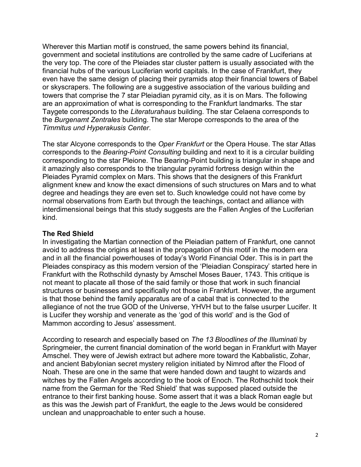Wherever this Martian motif is construed, the same powers behind its financial, government and societal institutions are controlled by the same cadre of Luciferians at the very top. The core of the Pleiades star cluster pattern is usually associated with the financial hubs of the various Luciferian world capitals. In the case of Frankfurt, they even have the same design of placing their pyramids atop their financial towers of Babel or skyscrapers. The following are a suggestive association of the various building and towers that comprise the 7 star Pleiadian pyramid city, as it is on Mars. The following are an approximation of what is corresponding to the Frankfurt landmarks. The star Taygete corresponds to the *Literaturahaus* building. The star Celaena corresponds to the *Burgenamt Zentrales* building. The star Merope corresponds to the area of the *Timmitus und Hyperakusis Center*.

The star Alcyone corresponds to the *Oper Frankfurt* or the Opera House. The star Atlas corresponds to the *Bearing-Point Consulting* building and next to it is a circular building corresponding to the star Pleione. The Bearing-Point building is triangular in shape and it amazingly also corresponds to the triangular pyramid fortress design within the Pleiades Pyramid complex on Mars. This shows that the designers of this Frankfurt alignment knew and know the exact dimensions of such structures on Mars and to what degree and headings they are even set to. Such knowledge could not have come by normal observations from Earth but through the teachings, contact and alliance with interdimensional beings that this study suggests are the Fallen Angles of the Luciferian kind.

## **The Red Shield**

In investigating the Martian connection of the Pleiadian pattern of Frankfurt, one cannot avoid to address the origins at least in the propagation of this motif in the modern era and in all the financial powerhouses of today's World Financial Oder. This is in part the Pleiades conspiracy as this modern version of the 'Pleiadian Conspiracy' started here in Frankfurt with the Rothschild dynasty by Amschel Moses Bauer, 1743. This critique is not meant to placate all those of the said family or those that work in such financial structures or businesses and specifically not those in Frankfurt. However, the argument is that those behind the family apparatus are of a cabal that is connected to the allegiance of not the true GOD of the Universe, YHVH but to the false usurper Lucifer. It is Lucifer they worship and venerate as the 'god of this world' and is the God of Mammon according to Jesus' assessment.

According to research and especially based on *The 13 Bloodlines of the Illuminati* by Springmeier, the current financial domination of the world began in Frankfurt with Mayer Amschel. They were of Jewish extract but adhere more toward the Kabbalistic, Zohar, and ancient Babylonian secret mystery religion initiated by Nimrod after the Flood of Noah. These are one in the same that were handed down and taught to wizards and witches by the Fallen Angels according to the book of Enoch. The Rothschild took their name from the German for the 'Red Shield' that was supposed placed outside the entrance to their first banking house. Some assert that it was a black Roman eagle but as this was the Jewish part of Frankfurt, the eagle to the Jews would be considered unclean and unapproachable to enter such a house.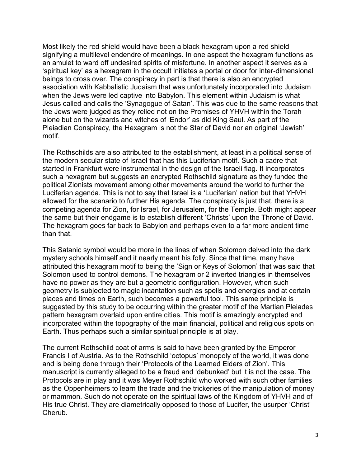Most likely the red shield would have been a black hexagram upon a red shield signifying a multilevel endendre of meanings. In one aspect the hexagram functions as an amulet to ward off undesired spirits of misfortune. In another aspect it serves as a 'spiritual key' as a hexagram in the occult initiates a portal or door for inter-dimensional beings to cross over. The conspiracy in part is that there is also an encrypted association with Kabbalistic Judaism that was unfortunately incorporated into Judaism when the Jews were led captive into Babylon. This element within Judaism is what Jesus called and calls the 'Synagogue of Satan'. This was due to the same reasons that the Jews were judged as they relied not on the Promises of YHVH within the Torah alone but on the wizards and witches of 'Endor' as did King Saul. As part of the Pleiadian Conspiracy, the Hexagram is not the Star of David nor an original 'Jewish' motif.

The Rothschilds are also attributed to the establishment, at least in a political sense of the modern secular state of Israel that has this Luciferian motif. Such a cadre that started in Frankfurt were instrumental in the design of the Israeli flag. It incorporates such a hexagram but suggests an encrypted Rothschild signature as they funded the political Zionists movement among other movements around the world to further the Luciferian agenda. This is not to say that Israel is a 'Luciferian' nation but that YHVH allowed for the scenario to further His agenda. The conspiracy is just that, there is a competing agenda for Zion, for Israel, for Jerusalem, for the Temple. Both might appear the same but their endgame is to establish different 'Christs' upon the Throne of David. The hexagram goes far back to Babylon and perhaps even to a far more ancient time than that.

This Satanic symbol would be more in the lines of when Solomon delved into the dark mystery schools himself and it nearly meant his folly. Since that time, many have attributed this hexagram motif to being the 'Sign or Keys of Solomon' that was said that Solomon used to control demons. The hexagram or 2 inverted triangles in themselves have no power as they are but a geometric configuration. However, when such geometry is subjected to magic incantation such as spells and energies and at certain places and times on Earth, such becomes a powerful tool. This same principle is suggested by this study to be occurring within the greater motif of the Martian Pleiades pattern hexagram overlaid upon entire cities. This motif is amazingly encrypted and incorporated within the topography of the main financial, political and religious spots on Earth. Thus perhaps such a similar spiritual principle is at play.

The current Rothschild coat of arms is said to have been granted by the Emperor Francis I of Austria. As to the Rothschild 'octopus' monopoly of the world, it was done and is being done through their 'Protocols of the Learned Elders of Zion'. This manuscript is currently alleged to be a fraud and 'debunked' but it is not the case. The Protocols are in play and it was Meyer Rothschild who worked with such other families as the Oppenheimers to learn the trade and the trickeries of the manipulation of money or mammon. Such do not operate on the spiritual laws of the Kingdom of YHVH and of His true Christ. They are diametrically opposed to those of Lucifer, the usurper 'Christ' Cherub.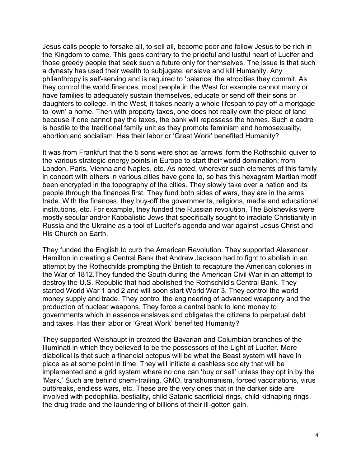Jesus calls people to forsake all, to sell all, become poor and follow Jesus to be rich in the Kingdom to come. This goes contrary to the prideful and lustful heart of Lucifer and those greedy people that seek such a future only for themselves. The issue is that such a dynasty has used their wealth to subjugate, enslave and kill Humanity. Any philanthropy is self-serving and is required to 'balance' the atrocities they commit. As they control the world finances, most people in the West for example cannot marry or have families to adequately sustain themselves, educate or send off their sons or daughters to college. In the West, it takes nearly a whole lifespan to pay off a mortgage to 'own' a home. Then with property taxes, one does not really own the piece of land because if one cannot pay the taxes, the bank will repossess the homes. Such a cadre is hostile to the traditional family unit as they promote feminism and homosexuality, abortion and socialism. Has their labor or 'Great Work' benefited Humanity?

It was from Frankfurt that the 5 sons were shot as 'arrows' form the Rothschild quiver to the various strategic energy points in Europe to start their world domination; from London, Paris, Vienna and Naples, etc. As noted, wherever such elements of this family in concert with others in various cities have gone to, so has this hexagram Martian motif been encrypted in the topography of the cities. They slowly take over a nation and its people through the finances first. They fund both sides of wars, they are in the arms trade. With the finances, they buy-off the governments, religions, media and educational institutions, etc. For example, they funded the Russian revolution. The Bolsheviks were mostly secular and/or Kabbalistic Jews that specifically sought to irradiate Christianity in Russia and the Ukraine as a tool of Lucifer's agenda and war against Jesus Christ and His Church on Earth.

They funded the English to curb the American Revolution. They supported Alexander Hamilton in creating a Central Bank that Andrew Jackson had to fight to abolish in an attempt by the Rothschilds prompting the British to recapture the American colonies in the War of 1812.They funded the South during the American Civil War in an attempt to destroy the U.S. Republic that had abolished the Rothschild's Central Bank. They started World War 1 and 2 and will soon start World War 3. They control the world money supply and trade. They control the engineering of advanced weaponry and the production of nuclear weapons. They force a central bank to lend money to governments which in essence enslaves and obligates the citizens to perpetual debt and taxes. Has their labor or 'Great Work' benefited Humanity?

They supported Weishaupt in created the Bavarian and Columbian branches of the Illuminati in which they believed to be the possessors of the Light of Lucifer. More diabolical is that such a financial octopus will be what the Beast system will have in place as at some point in time. They will initiate a cashless society that will be implemented and a grid system where no one can 'buy or sell' unless they opt in by the 'Mark.' Such are behind chem-trailing, GMO, transhumanism, forced vaccinations, virus outbreaks, endless wars, etc. These are the very ones that in the darker side are involved with pedophilia, bestiality, child Satanic sacrificial rings, child kidnaping rings, the drug trade and the laundering of billions of their ill-gotten gain.